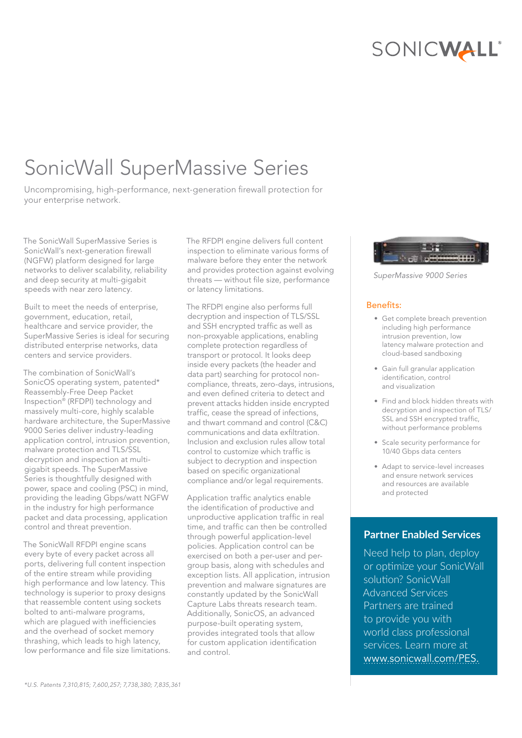# SONICWALL

# SonicWall SuperMassive Series

Uncompromising, high-performance, next-generation firewall protection for your enterprise network.

The SonicWall SuperMassive Series is SonicWall's next-generation firewall (NGFW) platform designed for large networks to deliver scalability, reliability and deep security at multi-gigabit speeds with near zero latency.

Built to meet the needs of enterprise, government, education, retail, healthcare and service provider, the SuperMassive Series is ideal for securing distributed enterprise networks, data centers and service providers.

The combination of SonicWall's SonicOS operating system, patented\* Reassembly-Free Deep Packet Inspection® (RFDPI) technology and massively multi-core, highly scalable hardware architecture, the SuperMassive 9000 Series deliver industry-leading application control, intrusion prevention, malware protection and TLS/SSL decryption and inspection at multigigabit speeds. The SuperMassive Series is thoughtfully designed with power, space and cooling (PSC) in mind, providing the leading Gbps/watt NGFW in the industry for high performance packet and data processing, application control and threat prevention.

The SonicWall RFDPI engine scans every byte of every packet across all ports, delivering full content inspection of the entire stream while providing high performance and low latency. This technology is superior to proxy designs that reassemble content using sockets bolted to anti-malware programs, which are plagued with inefficiencies and the overhead of socket memory thrashing, which leads to high latency, low performance and file size limitations. The RFDPI engine delivers full content inspection to eliminate various forms of malware before they enter the network and provides protection against evolving threats — without file size, performance or latency limitations.

The RFDPI engine also performs full decryption and inspection of TLS/SSL and SSH encrypted traffic as well as non-proxyable applications, enabling complete protection regardless of transport or protocol. It looks deep inside every packets (the header and data part) searching for protocol noncompliance, threats, zero-days, intrusions, and even defined criteria to detect and prevent attacks hidden inside encrypted traffic, cease the spread of infections, and thwart command and control (C&C) communications and data exfiltration. Inclusion and exclusion rules allow total control to customize which traffic is subject to decryption and inspection based on specific organizational compliance and/or legal requirements.

Application traffic analytics enable the identification of productive and unproductive application traffic in real time, and traffic can then be controlled through powerful application-level policies. Application control can be exercised on both a per-user and pergroup basis, along with schedules and exception lists. All application, intrusion prevention and malware signatures are constantly updated by the SonicWall Capture Labs threats research team. Additionally, SonicOS, an advanced purpose-built operating system, provides integrated tools that allow for custom application identification and control.



*SuperMassive 9000 Series*

## Benefits:

- Get complete breach prevention including high performance intrusion prevention, low latency malware protection and cloud-based sandboxing
- Gain full granular application identification, control and visualization
- Find and block hidden threats with decryption and inspection of TLS/ SSL and SSH encrypted traffic, without performance problems
- Scale security performance for 10/40 Gbps data centers
- Adapt to service-level increases and ensure network services and resources are available and protected

## **Partner Enabled Services**

Need help to plan, deploy or optimize your SonicWall solution? SonicWall Advanced Services Partners are trained to provide you with world class professional services. Learn more at www.sonicwall.com/PES.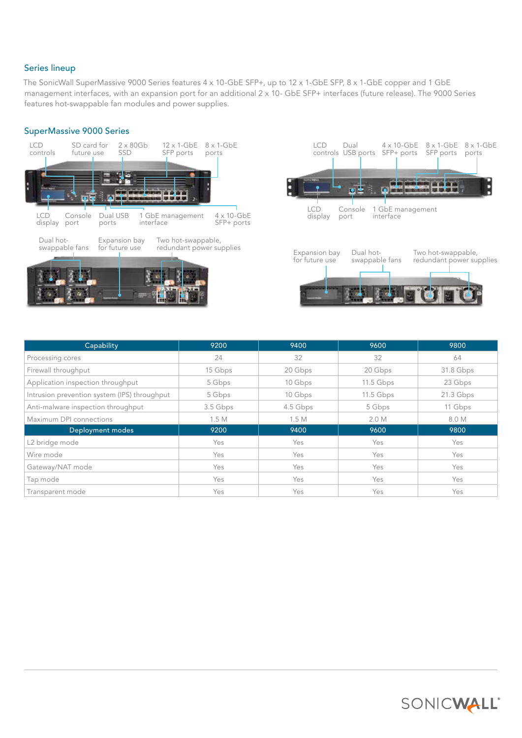## Series lineup

The SonicWall SuperMassive 9000 Series features 4 x 10-GbE SFP+, up to 12 x 1-GbE SFP, 8 x 1-GbE copper and 1 GbE management interfaces, with an expansion port for an additional 2 x 10- GbE SFP+ interfaces (future release). The 9000 Series features hot-swappable fan modules and power supplies.

## SuperMassive 9000 Series



| Capability                                   | 9200     | 9400     | 9600        | 9800        |
|----------------------------------------------|----------|----------|-------------|-------------|
| Processing cores                             | 24       | 32       | 32          | 64          |
| Firewall throughput                          | 15 Gbps  | 20 Gbps  | 20 Gbps     | 31.8 Gbps   |
| Application inspection throughput            | 5 Gbps   | 10 Gbps  | $11.5$ Gbps | 23 Gbps     |
| Intrusion prevention system (IPS) throughput | 5 Gbps   | 10 Gbps  | $11.5$ Gbps | $21.3$ Gbps |
| Anti-malware inspection throughput           | 3.5 Gbps | 4.5 Gbps | 5 Gbps      | 11 Gbps     |
| Maximum DPI connections                      | 1.5M     | 1.5M     | 2.0 M       | 8.0 M       |
| Deployment modes                             | 9200     | 9400     | 9600        | 9800        |
| L2 bridge mode                               | Yes      | Yes      | Yes         | Yes         |
| Wire mode                                    | Yes      | Yes      | Yes         | Yes         |
| Gateway/NAT mode                             | Yes      | Yes      | Yes         | Yes         |
| Tap mode                                     | Yes      | Yes      | Yes         | Yes         |
| Transparent mode                             | Yes      | Yes      | Yes         | Yes         |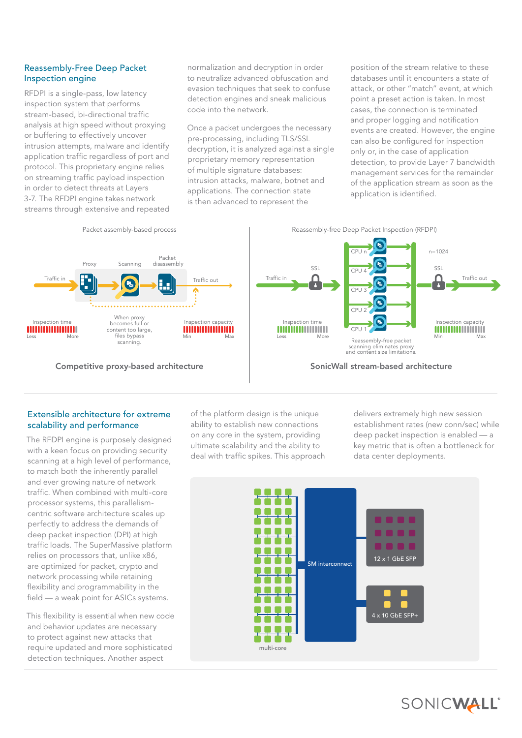## Reassembly-Free Deep Packet Inspection engine

RFDPI is a single-pass, low latency inspection system that performs stream-based, bi-directional traffic analysis at high speed without proxying or buffering to effectively uncover intrusion attempts, malware and identify application traffic regardless of port and protocol. This proprietary engine relies on streaming traffic payload inspection in order to detect threats at Layers 3-7. The RFDPI engine takes network streams through extensive and repeated

normalization and decryption in order to neutralize advanced obfuscation and evasion techniques that seek to confuse detection engines and sneak malicious code into the network.

Once a packet undergoes the necessary pre-processing, including TLS/SSL decryption, it is analyzed against a single proprietary memory representation of multiple signature databases: intrusion attacks, malware, botnet and applications. The connection state is then advanced to represent the

position of the stream relative to these databases until it encounters a state of attack, or other "match" event, at which point a preset action is taken. In most cases, the connection is terminated and proper logging and notification events are created. However, the engine can also be configured for inspection only or, in the case of application detection, to provide Layer 7 bandwidth management services for the remainder of the application stream as soon as the application is identified.



## Extensible architecture for extreme scalability and performance

The RFDPI engine is purposely designed with a keen focus on providing security scanning at a high level of performance, to match both the inherently parallel and ever growing nature of network traffic. When combined with multi-core processor systems, this parallelismcentric software architecture scales up perfectly to address the demands of deep packet inspection (DPI) at high traffic loads. The SuperMassive platform relies on processors that, unlike x86, are optimized for packet, crypto and network processing while retaining flexibility and programmability in the field — a weak point for ASICs systems.

This flexibility is essential when new code and behavior updates are necessary to protect against new attacks that require updated and more sophisticated detection techniques. Another aspect

of the platform design is the unique ability to establish new connections on any core in the system, providing ultimate scalability and the ability to deal with traffic spikes. This approach delivers extremely high new session establishment rates (new conn/sec) while deep packet inspection is enabled — a key metric that is often a bottleneck for data center deployments.



SONICWALL®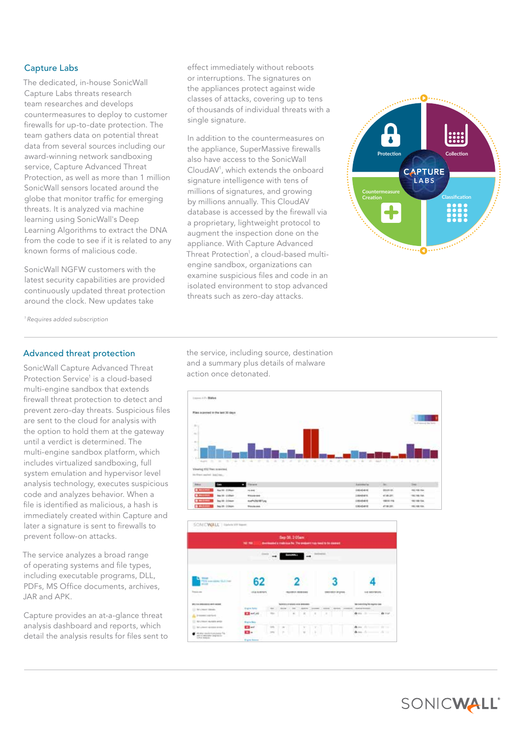## Capture Labs

The dedicated, in-house SonicWall Capture Labs threats research team researches and develops countermeasures to deploy to customer firewalls for up-to-date protection. The team gathers data on potential threat data from several sources including our award-winning network sandboxing service, Capture Advanced Threat Protection, as well as more than 1 million SonicWall sensors located around the globe that monitor traffic for emerging threats. It is analyzed via machine learning using SonicWall's Deep Learning Algorithms to extract the DNA from the code to see if it is related to any known forms of malicious code.

SonicWall NGFW customers with the latest security capabilities are provided continuously updated threat protection around the clock. New updates take

effect immediately without reboots or interruptions. The signatures on the appliances protect against wide classes of attacks, covering up to tens of thousands of individual threats with a single signature.

In addition to the countermeasures on the appliance, SuperMassive firewalls also have access to the SonicWall CloudAV<sup>1</sup> , which extends the onboard signature intelligence with tens of millions of signatures, and growing by millions annually. This CloudAV database is accessed by the firewall via a proprietary, lightweight protocol to augment the inspection done on the appliance. With Capture Advanced Threat Protection<sup>1</sup>, a cloud-based multiengine sandbox, organizations can examine suspicious files and code in an isolated environment to stop advanced threats such as zero-day attacks.



*1 Requires added subscription*

## Advanced threat protection

SonicWall Capture Advanced Threat Protection Service<sup>1</sup> is a cloud-based multi-engine sandbox that extends firewall threat protection to detect and prevent zero-day threats. Suspicious files are sent to the cloud for analysis with the option to hold them at the gateway until a verdict is determined. The multi-engine sandbox platform, which includes virtualized sandboxing, full system emulation and hypervisor level analysis technology, executes suspicious code and analyzes behavior. When a file is identified as malicious, a hash is immediately created within Capture and later a signature is sent to firewalls to prevent follow-on attacks.

The service analyzes a broad range of operating systems and file types, including executable programs, DLL, PDFs, MS Office documents, archives, JAR and APK.

Capture provides an at-a-glance threat analysis dashboard and reports, which detail the analysis results for files sent to

the service, including source, destination and a summary plus details of malware action once detonated.





SONICWALL®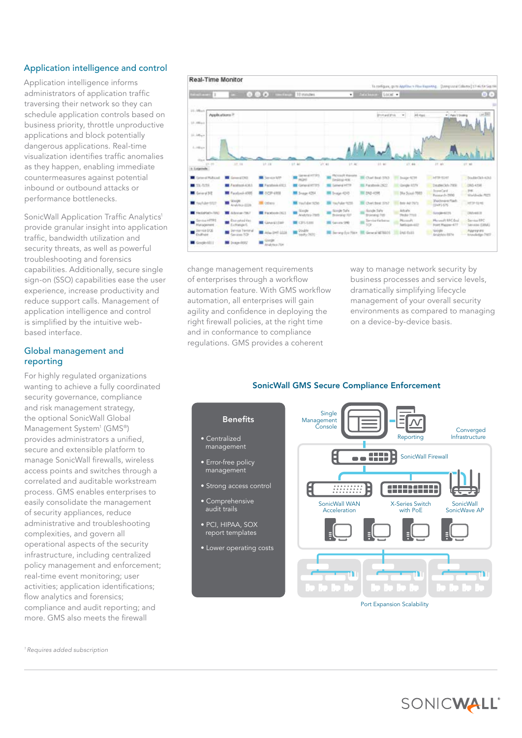## Application intelligence and control

Application intelligence informs administrators of application traffic traversing their network so they can schedule application controls based on business priority, throttle unproductive applications and block potentially dangerous applications. Real-time visualization identifies traffic anomalies as they happen, enabling immediate countermeasures against potential inbound or outbound attacks or performance bottlenecks.

SonicWall Application Traffic Analytics<sup>1</sup> provide granular insight into application traffic, bandwidth utilization and security threats, as well as powerful troubleshooting and forensics capabilities. Additionally, secure single sign-on (SSO) capabilities ease the user experience, increase productivity and reduce support calls. Management of application intelligence and control is simplified by the intuitive webbased interface.

## Global management and reporting

For highly regulated organizations wanting to achieve a fully coordinated security governance, compliance and risk management strategy, the optional SonicWall Global Management System<sup>1</sup> (GMS®) provides administrators a unified, secure and extensible platform to manage SonicWall firewalls, wireless access points and switches through a correlated and auditable workstream process. GMS enables enterprises to easily consolidate the management of security appliances, reduce administrative and troubleshooting complexities, and govern all operational aspects of the security infrastructure, including centralized policy management and enforcement; real-time event monitoring; user activities; application identifications; flow analytics and forensics; compliance and audit reporting; and more. GMS also meets the firewall



change management requirements of enterprises through a workflow automation feature. With GMS workflow automation, all enterprises will gain agility and confidence in deploying the right firewall policies, at the right time and in conformance to compliance regulations. GMS provides a coherent

way to manage network security by business processes and service levels, dramatically simplifying lifecycle management of your overall security environments as compared to managing on a device-by-device basis.

### SonicWall GMS Secure Compliance Enforcement



*1 Requires added subscription*

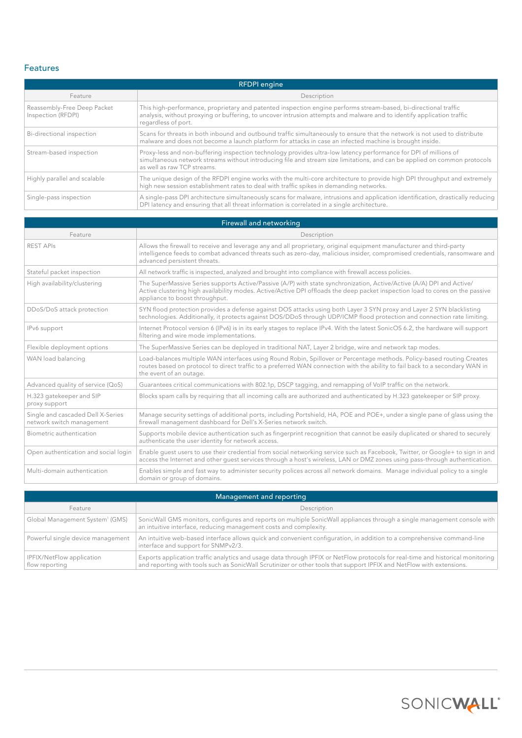## Features

| <b>RFDPI</b> engine                               |                                                                                                                                                                                                                                                                              |  |
|---------------------------------------------------|------------------------------------------------------------------------------------------------------------------------------------------------------------------------------------------------------------------------------------------------------------------------------|--|
| Feature                                           | Description                                                                                                                                                                                                                                                                  |  |
| Reassembly-Free Deep Packet<br>Inspection (RFDPI) | This high-performance, proprietary and patented inspection engine performs stream-based, bi-directional traffic<br>analysis, without proxying or buffering, to uncover intrusion attempts and malware and to identify application traffic<br>regardless of port.             |  |
| Bi-directional inspection                         | Scans for threats in both inbound and outbound traffic simultaneously to ensure that the network is not used to distribute<br>malware and does not become a launch platform for attacks in case an infected machine is brought inside.                                       |  |
| Stream-based inspection                           | Proxy-less and non-buffering inspection technology provides ultra-low latency performance for DPI of millions of<br>simultaneous network streams without introducing file and stream size limitations, and can be applied on common protocols<br>as well as raw TCP streams. |  |
| Highly parallel and scalable                      | The unique design of the RFDPI engine works with the multi-core architecture to provide high DPI throughput and extremely<br>high new session establishment rates to deal with traffic spikes in demanding networks.                                                         |  |
| Single-pass inspection                            | A single-pass DPI architecture simultaneously scans for malware, intrusions and application identification, drastically reducing<br>DPI latency and ensuring that all threat information is correlated in a single architecture.                                             |  |

| Firewall and networking                                        |                                                                                                                                                                                                                                                                                          |  |
|----------------------------------------------------------------|------------------------------------------------------------------------------------------------------------------------------------------------------------------------------------------------------------------------------------------------------------------------------------------|--|
| Feature                                                        | Description                                                                                                                                                                                                                                                                              |  |
| <b>REST APIS</b>                                               | Allows the firewall to receive and leverage any and all proprietary, original equipment manufacturer and third-party<br>intelligence feeds to combat advanced threats such as zero-day, malicious insider, compromised credentials, ransomware and<br>advanced persistent threats.       |  |
| Stateful packet inspection                                     | All network traffic is inspected, analyzed and brought into compliance with firewall access policies.                                                                                                                                                                                    |  |
| High availability/clustering                                   | The SuperMassive Series supports Active/Passive (A/P) with state synchronization, Active/Active (A/A) DPI and Active/<br>Active clustering high availability modes. Active/Active DPI offloads the deep packet inspection load to cores on the passive<br>appliance to boost throughput. |  |
| DDoS/DoS attack protection                                     | SYN flood protection provides a defense against DOS attacks using both Layer 3 SYN proxy and Layer 2 SYN blacklisting<br>technologies. Additionally, it protects against DOS/DDoS through UDP/ICMP flood protection and connection rate limiting.                                        |  |
| IPv6 support                                                   | Internet Protocol version 6 (IPv6) is in its early stages to replace IPv4. With the latest SonicOS 6.2, the hardware will support<br>filtering and wire mode implementations.                                                                                                            |  |
| Flexible deployment options                                    | The SuperMassive Series can be deployed in traditional NAT, Layer 2 bridge, wire and network tap modes.                                                                                                                                                                                  |  |
| WAN load balancing                                             | Load-balances multiple WAN interfaces using Round Robin, Spillover or Percentage methods. Policy-based routing Creates<br>routes based on protocol to direct traffic to a preferred WAN connection with the ability to fail back to a secondary WAN in<br>the event of an outage.        |  |
| Advanced quality of service (QoS)                              | Guarantees critical communications with 802.1p, DSCP tagging, and remapping of VoIP traffic on the network.                                                                                                                                                                              |  |
| H.323 gatekeeper and SIP<br>proxy support                      | Blocks spam calls by requiring that all incoming calls are authorized and authenticated by H.323 gatekeeper or SIP proxy.                                                                                                                                                                |  |
| Single and cascaded Dell X-Series<br>network switch management | Manage security settings of additional ports, including Portshield, HA, POE and POE+, under a single pane of glass using the<br>firewall management dashboard for Dell's X-Series network switch.                                                                                        |  |
| Biometric authentication                                       | Supports mobile device authentication such as fingerprint recognition that cannot be easily duplicated or shared to securely<br>authenticate the user identity for network access.                                                                                                       |  |
| Open authentication and social login                           | Enable guest users to use their credential from social networking service such as Facebook, Twitter, or Google+ to sign in and<br>access the Internet and other quest services through a host's wireless, LAN or DMZ zones using pass-through authentication.                            |  |
| Multi-domain authentication                                    | Enables simple and fast way to administer security polices across all network domains. Manage individual policy to a single<br>domain or group of domains.                                                                                                                               |  |

| Management and reporting                    |                                                                                                                                                                                                                                                          |  |
|---------------------------------------------|----------------------------------------------------------------------------------------------------------------------------------------------------------------------------------------------------------------------------------------------------------|--|
| Feature                                     | Description                                                                                                                                                                                                                                              |  |
| Global Management System <sup>1</sup> (GMS) | SonicWall GMS monitors, configures and reports on multiple SonicWall appliances through a single management console with<br>an intuitive interface, reducing management costs and complexity.                                                            |  |
| Powerful single device management           | An intuitive web-based interface allows quick and convenient configuration, in addition to a comprehensive command-line<br>interface and support for SNMPv2/3.                                                                                           |  |
| IPFIX/NetFlow application<br>flow reporting | Exports application traffic analytics and usage data through IPFIX or NetFlow protocols for real-time and historical monitoring<br>and reporting with tools such as SonicWall Scrutinizer or other tools that support IPFIX and NetFlow with extensions. |  |

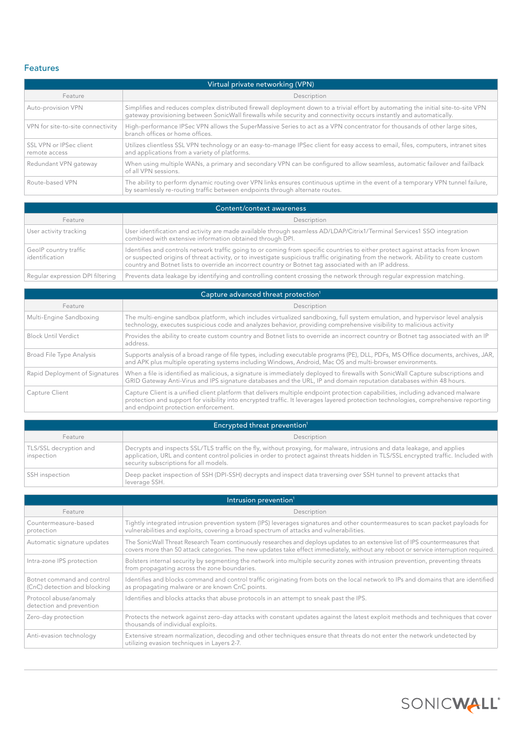## Features

| Virtual private networking (VPN)         |                                                                                                                                                                                                                                                            |  |
|------------------------------------------|------------------------------------------------------------------------------------------------------------------------------------------------------------------------------------------------------------------------------------------------------------|--|
| Feature                                  | Description                                                                                                                                                                                                                                                |  |
| Auto-provision VPN                       | Simplifies and reduces complex distributed firewall deployment down to a trivial effort by automating the initial site-to-site VPN<br>gateway provisioning between SonicWall firewalls while security and connectivity occurs instantly and automatically. |  |
| VPN for site-to-site connectivity        | High-performance IPSec VPN allows the SuperMassive Series to act as a VPN concentrator for thousands of other large sites,<br>branch offices or home offices.                                                                                              |  |
| SSL VPN or IPSec client<br>remote access | Utilizes clientless SSL VPN technology or an easy-to-manage IPSec client for easy access to email, files, computers, intranet sites<br>and applications from a variety of platforms.                                                                       |  |
| Redundant VPN gateway                    | When using multiple WANs, a primary and secondary VPN can be configured to allow seamless, automatic failover and failback<br>of all VPN sessions.                                                                                                         |  |
| Route-based VPN                          | The ability to perform dynamic routing over VPN links ensures continuous uptime in the event of a temporary VPN tunnel failure,<br>by seamlessly re-routing traffic between endpoints through alternate routes.                                            |  |

| Content/context awareness               |                                                                                                                                                                                                                                                                                                                                                                                   |
|-----------------------------------------|-----------------------------------------------------------------------------------------------------------------------------------------------------------------------------------------------------------------------------------------------------------------------------------------------------------------------------------------------------------------------------------|
| Feature                                 | Description                                                                                                                                                                                                                                                                                                                                                                       |
| User activity tracking                  | User identification and activity are made available through seamless AD/LDAP/Citrix1/Terminal Services1 SSO integration<br>combined with extensive information obtained through DPI.                                                                                                                                                                                              |
| GeoIP country traffic<br>identification | Identifies and controls network traffic going to or coming from specific countries to either protect against attacks from known<br>or suspected origins of threat activity, or to investigate suspicious traffic originating from the network. Ability to create custom<br>country and Botnet lists to override an incorrect country or Botnet tag associated with an IP address. |
| Regular expression DPI filtering        | Prevents data leakage by identifying and controlling content crossing the network through regular expression matching.                                                                                                                                                                                                                                                            |

| Capture advanced threat protection <sup>1</sup> |                                                                                                                                                                                                                                                                                                                |  |
|-------------------------------------------------|----------------------------------------------------------------------------------------------------------------------------------------------------------------------------------------------------------------------------------------------------------------------------------------------------------------|--|
| Feature                                         | Description                                                                                                                                                                                                                                                                                                    |  |
| Multi-Engine Sandboxing                         | The multi-engine sandbox platform, which includes virtualized sandboxing, full system emulation, and hypervisor level analysis<br>technology, executes suspicious code and analyzes behavior, providing comprehensive visibility to malicious activity                                                         |  |
| <b>Block Until Verdict</b>                      | Provides the ability to create custom country and Botnet lists to override an incorrect country or Botnet tag associated with an IP<br>address.                                                                                                                                                                |  |
| Broad File Type Analysis                        | Supports analysis of a broad range of file types, including executable programs (PE), DLL, PDFs, MS Office documents, archives, JAR,<br>and APK plus multiple operating systems including Windows, Android, Mac OS and multi-browser environments.                                                             |  |
| Rapid Deployment of Signatures                  | When a file is identified as malicious, a signature is immediately deployed to firewalls with SonicWall Capture subscriptions and<br>GRID Gateway Anti-Virus and IPS signature databases and the URL, IP and domain reputation databases within 48 hours.                                                      |  |
| Capture Client                                  | Capture Client is a unified client platform that delivers multiple endpoint protection capabilities, including advanced malware<br>protection and support for visibility into encrypted traffic. It leverages layered protection technologies, comprehensive reporting<br>and endpoint protection enforcement. |  |

| Encrypted threat prevention <sup>1</sup> |                                                                                                                                                                                                                                                                                                             |
|------------------------------------------|-------------------------------------------------------------------------------------------------------------------------------------------------------------------------------------------------------------------------------------------------------------------------------------------------------------|
| Feature                                  | Description                                                                                                                                                                                                                                                                                                 |
| TLS/SSL decryption and<br>inspection     | Decrypts and inspects SSL/TLS traffic on the fly, without proxying, for malware, intrusions and data leakage, and applies<br>application, URL and content control policies in order to protect against threats hidden in TLS/SSL encrypted traffic. Included with<br>security subscriptions for all models. |
| SSH inspection                           | Deep packet inspection of SSH (DPI-SSH) decrypts and inspect data traversing over SSH tunnel to prevent attacks that<br>leverage SSH.                                                                                                                                                                       |

| Intrusion prevention <sup>1</sup>                          |                                                                                                                                                                                                                                                                         |  |
|------------------------------------------------------------|-------------------------------------------------------------------------------------------------------------------------------------------------------------------------------------------------------------------------------------------------------------------------|--|
| Feature                                                    | Description                                                                                                                                                                                                                                                             |  |
| Countermeasure-based<br>protection                         | Tightly integrated intrusion prevention system (IPS) leverages signatures and other countermeasures to scan packet payloads for<br>vulnerabilities and exploits, covering a broad spectrum of attacks and vulnerabilities.                                              |  |
| Automatic signature updates                                | The SonicWall Threat Research Team continuously researches and deploys updates to an extensive list of IPS countermeasures that<br>covers more than 50 attack categories. The new updates take effect immediately, without any reboot or service interruption required. |  |
| Intra-zone IPS protection                                  | Bolsters internal security by segmenting the network into multiple security zones with intrusion prevention, preventing threats<br>from propagating across the zone boundaries.                                                                                         |  |
| Botnet command and control<br>(CnC) detection and blocking | Identifies and blocks command and control traffic originating from bots on the local network to IPs and domains that are identified<br>as propagating malware or are known CnC points.                                                                                  |  |
| Protocol abuse/anomaly<br>detection and prevention         | Identifies and blocks attacks that abuse protocols in an attempt to sneak past the IPS.                                                                                                                                                                                 |  |
| Zero-day protection                                        | Protects the network against zero-day attacks with constant updates against the latest exploit methods and techniques that cover<br>thousands of individual exploits.                                                                                                   |  |
| Anti-evasion technology                                    | Extensive stream normalization, decoding and other techniques ensure that threats do not enter the network undetected by<br>utilizing evasion techniques in Layers 2-7.                                                                                                 |  |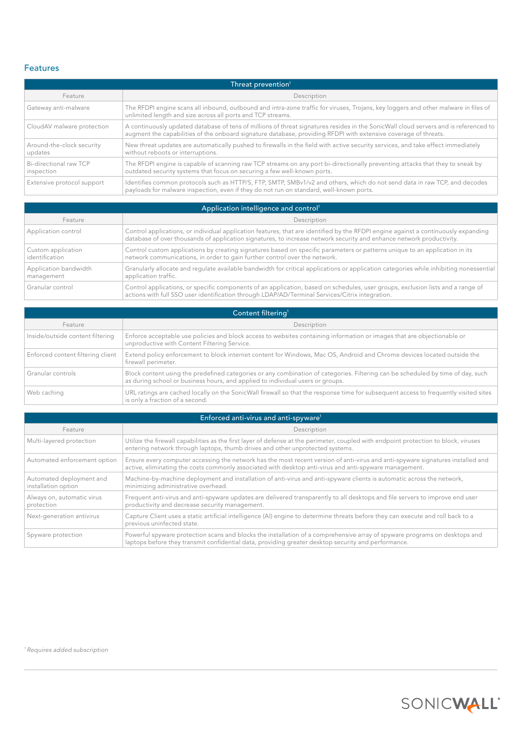## Features

| Threat prevention <sup>1</sup>       |                                                                                                                                                                                                                                                         |  |
|--------------------------------------|---------------------------------------------------------------------------------------------------------------------------------------------------------------------------------------------------------------------------------------------------------|--|
| Feature                              | Description                                                                                                                                                                                                                                             |  |
| Gateway anti-malware                 | The RFDPI engine scans all inbound, outbound and intra-zone traffic for viruses, Trojans, key loggers and other malware in files of<br>unlimited length and size across all ports and TCP streams.                                                      |  |
| CloudAV malware protection           | A continuously updated database of tens of millions of threat signatures resides in the SonicWall cloud servers and is referenced to<br>augment the capabilities of the onboard signature database, providing RFDPI with extensive coverage of threats. |  |
| Around-the-clock security<br>updates | New threat updates are automatically pushed to firewalls in the field with active security services, and take effect immediately<br>without reboots or interruptions.                                                                                   |  |
| Bi-directional raw TCP<br>inspection | The RFDPI engine is capable of scanning raw TCP streams on any port bi-directionally preventing attacks that they to sneak by<br>outdated security systems that focus on securing a few well-known ports.                                               |  |
| Extensive protocol support           | Identifies common protocols such as HTTP/S, FTP, SMTP, SMBv1/v2 and others, which do not send data in raw TCP, and decodes<br>payloads for malware inspection, even if they do not run on standard, well-known ports.                                   |  |

| Application intelligence and control <sup>1</sup> |                                                                                                                                                                                                                                                            |  |
|---------------------------------------------------|------------------------------------------------------------------------------------------------------------------------------------------------------------------------------------------------------------------------------------------------------------|--|
| Feature                                           | Description                                                                                                                                                                                                                                                |  |
| Application control                               | Control applications, or individual application features, that are identified by the RFDPI engine against a continuously expanding<br>database of over thousands of application signatures, to increase network security and enhance network productivity. |  |
| Custom application<br>identification              | Control custom applications by creating signatures based on specific parameters or patterns unique to an application in its<br>network communications, in order to gain further control over the network.                                                  |  |
| Application bandwidth<br>management               | Granularly allocate and requlate available bandwidth for critical applications or application categories while inhibiting nonessential<br>application traffic.                                                                                             |  |
| Granular control                                  | Control applications, or specific components of an application, based on schedules, user groups, exclusion lists and a range of<br>actions with full SSO user identification through LDAP/AD/Terminal Services/Citrix integration.                         |  |

| Content filtering <sup>1</sup>    |                                                                                                                                                                                                                   |  |
|-----------------------------------|-------------------------------------------------------------------------------------------------------------------------------------------------------------------------------------------------------------------|--|
| Feature                           | Description                                                                                                                                                                                                       |  |
| Inside/outside content filtering  | Enforce acceptable use policies and block access to websites containing information or images that are objectionable or<br>unproductive with Content Filtering Service.                                           |  |
| Enforced content filtering client | Extend policy enforcement to block internet content for Windows, Mac OS, Android and Chrome devices located outside the<br>firewall perimeter.                                                                    |  |
| Granular controls                 | Block content using the predefined categories or any combination of categories. Filtering can be scheduled by time of day, such<br>as during school or business hours, and applied to individual users or groups. |  |
| Web caching                       | URL ratings are cached locally on the SonicWall firewall so that the response time for subsequent access to frequently visited sites<br>is only a fraction of a second.                                           |  |

| Enforced anti-virus and anti-spyware <sup>1</sup> |                                                                                                                                                                                                                                           |  |  |  |
|---------------------------------------------------|-------------------------------------------------------------------------------------------------------------------------------------------------------------------------------------------------------------------------------------------|--|--|--|
| Feature                                           | Description                                                                                                                                                                                                                               |  |  |  |
| Multi-layered protection                          | Utilize the firewall capabilities as the first layer of defense at the perimeter, coupled with endpoint protection to block, viruses<br>entering network through laptops, thumb drives and other unprotected systems.                     |  |  |  |
| Automated enforcement option                      | Ensure every computer accessing the network has the most recent version of anti-virus and anti-spyware signatures installed and<br>active, eliminating the costs commonly associated with desktop anti-virus and anti-spyware management. |  |  |  |
| Automated deployment and<br>installation option   | Machine-by-machine deployment and installation of anti-virus and anti-spyware clients is automatic across the network,<br>minimizing administrative overhead.                                                                             |  |  |  |
| Always on, automatic virus<br>protection          | Frequent anti-virus and anti-spyware updates are delivered transparently to all desktops and file servers to improve end user<br>productivity and decrease security management.                                                           |  |  |  |
| Next-generation antivirus                         | Capture Client uses a static artificial intelligence (AI) engine to determine threats before they can execute and roll back to a<br>previous uninfected state.                                                                            |  |  |  |
| Spyware protection                                | Powerful spyware protection scans and blocks the installation of a comprehensive array of spyware programs on desktops and<br>laptops before they transmit confidential data, providing greater desktop security and performance.         |  |  |  |

*1 Requires added subscription*

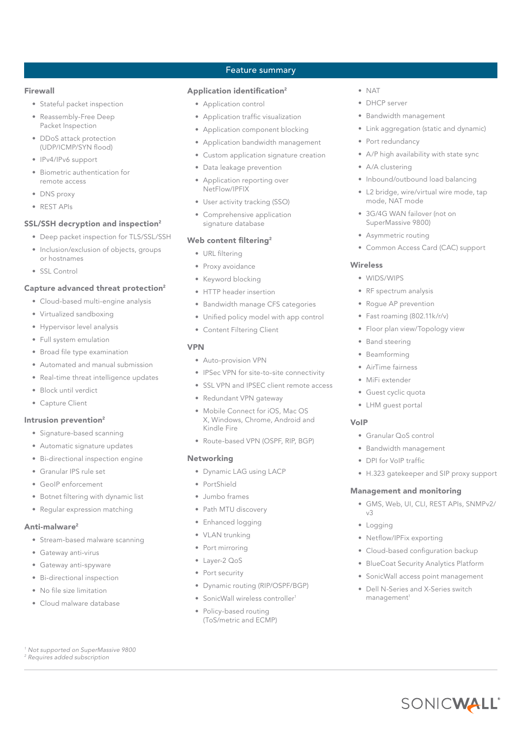#### Firewall

- Stateful packet inspection
- Reassembly-Free Deep Packet Inspection
- DDoS attack protection (UDP/ICMP/SYN flood)
- IPv4/IPv6 support
- Biometric authentication for remote access
- DNS proxy
- REST APIs

#### SSL/SSH decryption and inspection<sup>2</sup>

- Deep packet inspection for TLS/SSL/SSH
- Inclusion/exclusion of objects, groups or hostnames
- SSL Control

#### Capture advanced threat protection<sup>2</sup>

- Cloud-based multi-engine analysis
- Virtualized sandboxing
- Hypervisor level analysis
- Full system emulation
- Broad file type examination
- Automated and manual submission
- Real-time threat intelligence updates
- Block until verdict
- Capture Client

#### Intrusion prevention<sup>2</sup>

- Signature-based scanning
- Automatic signature updates
- Bi-directional inspection engine
- Granular IPS rule set
- GeoIP enforcement
- Botnet filtering with dynamic list
- Regular expression matching

#### Anti-malware<sup>2</sup>

- Stream-based malware scanning
- Gateway anti-virus
- Gateway anti-spyware
- Bi-directional inspection
- No file size limitation
- Cloud malware database

*1 Not supported on SuperMassive 9800 2 Requires added subscription*

## Feature summary

### Application identification<sup>2</sup>

- Application control
- Application traffic visualization • Application component blocking
- Application bandwidth management
- Custom application signature creation
- Data leakage prevention
- Application reporting over NetFlow/IPFIX
- User activity tracking (SSO)
- Comprehensive application signature database

#### Web content filtering<sup>2</sup>

- URL filtering
- Proxy avoidance
- Keyword blocking
- HTTP header insertion
- Bandwidth manage CFS categories
- Unified policy model with app control
- Content Filtering Client

#### VPN

- Auto-provision VPN
- IPSec VPN for site-to-site connectivity
- SSL VPN and IPSEC client remote access
- Redundant VPN gateway
- Mobile Connect for iOS, Mac OS X, Windows, Chrome, Android and Kindle Fire
- Route-based VPN (OSPF, RIP, BGP)

#### Networking

- Dynamic LAG using LACP
- PortShield
- Jumbo frames
- Path MTU discovery
- Enhanced logging
- VLAN trunking
- Port mirroring
- Layer-2 QoS
- Port security
- Dynamic routing (RIP/OSPF/BGP)
- SonicWall wireless controller<sup>1</sup>
- Policy-based routing (ToS/metric and ECMP)
- NAT
- DHCP server
- Bandwidth management
- Link aggregation (static and dynamic)
- Port redundancy
- A/P high availability with state sync
- A/A clustering
- Inbound/outbound load balancing
- L2 bridge, wire/virtual wire mode, tap mode, NAT mode
- 3G/4G WAN failover (not on SuperMassive 9800)
- Asymmetric routing
- Common Access Card (CAC) support

#### Wireless

- WIDS/WIPS
- RF spectrum analysis
- Rogue AP prevention
- Fast roaming (802.11k/r/v)
- Floor plan view/Topology view
- Band steering
- **Beamforming**
- AirTime fairness
- MiFi extender
- Guest cyclic quota
- LHM guest portal

• Granular QoS control • Bandwidth management • DPI for VoIP traffic

Management and monitoring

• Netflow/IPFix exporting

management<sup>1</sup>

• H.323 gatekeeper and SIP proxy support

• GMS, Web, UI, CLI, REST APIs, SNMPv2/

• Cloud-based configuration backup • BlueCoat Security Analytics Platform • SonicWall access point management • Dell N-Series and X-Series switch

SONICWALL®

#### VoIP

v3 • Logging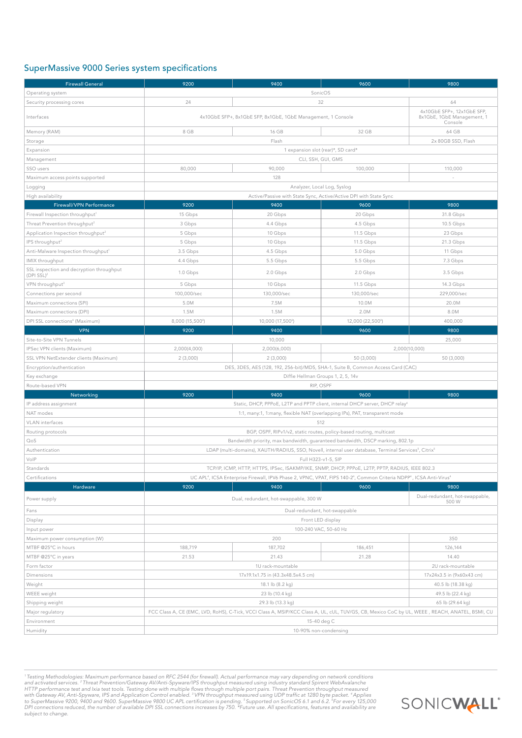## SuperMassive 9000 Series system specifications

| <b>Firewall General</b>                                   | 9200                                                                                                                                                                                                                                                                    | 9400                                                                             | 9600                                                                                     | 9800                                                                |  |
|-----------------------------------------------------------|-------------------------------------------------------------------------------------------------------------------------------------------------------------------------------------------------------------------------------------------------------------------------|----------------------------------------------------------------------------------|------------------------------------------------------------------------------------------|---------------------------------------------------------------------|--|
| Operating system                                          | SonicOS                                                                                                                                                                                                                                                                 |                                                                                  |                                                                                          |                                                                     |  |
| Security processing cores                                 | 24                                                                                                                                                                                                                                                                      |                                                                                  | 32                                                                                       | 64                                                                  |  |
| Interfaces                                                | 4x10GbE SFP+, 8x1GbE SFP, 8x1GbE, 1GbE Management, 1 Console                                                                                                                                                                                                            |                                                                                  |                                                                                          | 4x10GbE SFP+, 12x1GbE SFP,<br>8x1GbE, 1GbE Management, 1<br>Console |  |
| Memory (RAM)                                              | 8 GB                                                                                                                                                                                                                                                                    | 16 GB                                                                            | 32 GB                                                                                    | 64 GB                                                               |  |
| Storage                                                   |                                                                                                                                                                                                                                                                         | Flash                                                                            |                                                                                          | 2x 80GB SSD, Flash                                                  |  |
| Expansion                                                 |                                                                                                                                                                                                                                                                         |                                                                                  | 1 expansion slot (rear)*, SD card*                                                       |                                                                     |  |
| Management                                                | CLI, SSH, GUI, GMS                                                                                                                                                                                                                                                      |                                                                                  |                                                                                          |                                                                     |  |
| SSO users                                                 | 80,000                                                                                                                                                                                                                                                                  | 90,000                                                                           | 100,000                                                                                  | 110,000                                                             |  |
| Maximum access points supported                           |                                                                                                                                                                                                                                                                         | 128                                                                              |                                                                                          |                                                                     |  |
| Logging                                                   | Analyzer, Local Log, Syslog                                                                                                                                                                                                                                             |                                                                                  |                                                                                          |                                                                     |  |
| High availability                                         | Active/Passive with State Sync, Active/Active DPI with State Sync                                                                                                                                                                                                       |                                                                                  |                                                                                          |                                                                     |  |
| Firewall/VPN Performance                                  | 9200                                                                                                                                                                                                                                                                    | 9400                                                                             | 9600                                                                                     | 9800                                                                |  |
| Firewall Inspection throughput1                           | 15 Gbps                                                                                                                                                                                                                                                                 | 20 Gbps                                                                          | 20 Gbps                                                                                  | 31.8 Gbps                                                           |  |
| Threat Prevention throughput <sup>2</sup>                 | 3 Gbps                                                                                                                                                                                                                                                                  | 4.4 Gbps                                                                         | 4.5 Gbps                                                                                 | 10.5 Gbps                                                           |  |
| Application Inspection throughput <sup>2</sup>            | 5 Gbps                                                                                                                                                                                                                                                                  | 10 Gbps                                                                          | 11.5 Gbps                                                                                | 23 Gbps                                                             |  |
| IPS throughput <sup>2</sup>                               | 5 Gbps                                                                                                                                                                                                                                                                  | 10 Gbps                                                                          | 11.5 Gbps                                                                                | 21.3 Gbps                                                           |  |
| Anti-Malware Inspection throughput <sup>1</sup>           | 3.5 Gbps                                                                                                                                                                                                                                                                | 4.5 Gbps                                                                         | 5.0 Gbps                                                                                 | 11 Gbps                                                             |  |
| IMIX throughput                                           | 4.4 Gbps                                                                                                                                                                                                                                                                | 5.5 Gbps                                                                         | 5.5 Gbps                                                                                 | 7.3 Gbps                                                            |  |
| SSL inspection and decryption throughput<br>$(DPI SSL)^2$ | 1.0 Gbps                                                                                                                                                                                                                                                                | 2.0 Gbps                                                                         | 2.0 Gbps                                                                                 | 3.5 Gbps                                                            |  |
| VPN throughput <sup>3</sup>                               | 5 Gbps                                                                                                                                                                                                                                                                  | 10 Gbps                                                                          | 11.5 Gbps                                                                                | 14.3 Gbps                                                           |  |
| Connections per second                                    | 100,000/sec                                                                                                                                                                                                                                                             | 130,000/sec                                                                      | 130,000/sec                                                                              | 229,000/sec                                                         |  |
| Maximum connections (SPI)                                 | 5.0M                                                                                                                                                                                                                                                                    | 7.5M                                                                             | 10.0M                                                                                    | 20.0M                                                               |  |
| Maximum connections (DPI)                                 | 1.5M                                                                                                                                                                                                                                                                    | 1.5M                                                                             | 2.0M                                                                                     | 8.0M                                                                |  |
| DPI SSL connections <sup>6</sup> (Maximum)                | 8,000 (15,500 <sup>6</sup> )                                                                                                                                                                                                                                            | 10,000 (17,500 <sup>6</sup> )                                                    | 12,000 (22,500 <sup>6</sup> )                                                            | 400,000                                                             |  |
| <b>VPN</b>                                                | 9200                                                                                                                                                                                                                                                                    | 9400                                                                             | 9600                                                                                     | 9800                                                                |  |
| Site-to-Site VPN Tunnels                                  |                                                                                                                                                                                                                                                                         | 10,000                                                                           |                                                                                          | 25,000                                                              |  |
| IPSec VPN clients (Maximum)                               | 2,000(4,000)                                                                                                                                                                                                                                                            | 2,000(6,000)                                                                     |                                                                                          | 2,000(10,000)                                                       |  |
| SSL VPN NetExtender clients (Maximum)                     | 2(3,000)                                                                                                                                                                                                                                                                | 2(3,000)                                                                         | 50 (3,000)                                                                               | 50 (3,000)                                                          |  |
| Encryption/authentication                                 |                                                                                                                                                                                                                                                                         | DES, 3DES, AES (128, 192, 256-bit)/MD5, SHA-1, Suite B, Common Access Card (CAC) |                                                                                          |                                                                     |  |
| Key exchange                                              | Diffie Hellman Groups 1, 2, 5, 14v                                                                                                                                                                                                                                      |                                                                                  |                                                                                          |                                                                     |  |
| Route-based VPN                                           | RIP, OSPF                                                                                                                                                                                                                                                               |                                                                                  |                                                                                          |                                                                     |  |
| Networking                                                | 9200                                                                                                                                                                                                                                                                    | 9400                                                                             | 9600                                                                                     | 9800                                                                |  |
| IP address assignment                                     |                                                                                                                                                                                                                                                                         |                                                                                  | Static, DHCP, PPPoE, L2TP and PPTP client, internal DHCP server, DHCP relay <sup>4</sup> |                                                                     |  |
| NAT modes                                                 |                                                                                                                                                                                                                                                                         |                                                                                  | 1:1, many:1, 1:many, flexible NAT (overlapping IPs), PAT, transparent mode               |                                                                     |  |
| <b>VLAN</b> interfaces                                    |                                                                                                                                                                                                                                                                         |                                                                                  | 512                                                                                      |                                                                     |  |
| Routing protocols                                         | BGP, OSPF, RIPv1/v2, static routes, policy-based routing, multicast                                                                                                                                                                                                     |                                                                                  |                                                                                          |                                                                     |  |
| QoS                                                       | Bandwidth priority, max bandwidth, guaranteed bandwidth, DSCP marking, 802.1p                                                                                                                                                                                           |                                                                                  |                                                                                          |                                                                     |  |
| Authentication                                            | LDAP (multi-domains), XAUTH/RADIUS, SSO, Novell, internal user database, Terminal Services <sup>5</sup> , Citrix <sup>5</sup>                                                                                                                                           |                                                                                  |                                                                                          |                                                                     |  |
| VolP                                                      | Full H323-v1-5, SIP                                                                                                                                                                                                                                                     |                                                                                  |                                                                                          |                                                                     |  |
| Standards<br>Certifications                               | TCP/IP, ICMP, HTTP, HTTPS, IPSec, ISAKMP/IKE, SNMP, DHCP, PPPoE, L2TP, PPTP, RADIUS, IEEE 802.3<br>UC APL <sup>4</sup> , ICSA Enterprise Firewall, IPV6 Phase 2, VPNC, VPAT, FIPS 140-2 <sup>4</sup> , Common Criteria NDPP <sup>4</sup> , ICSA Anti-Virus <sup>4</sup> |                                                                                  |                                                                                          |                                                                     |  |
| Hardware                                                  | 9200                                                                                                                                                                                                                                                                    | 9400                                                                             | 9600                                                                                     | 9800                                                                |  |
|                                                           |                                                                                                                                                                                                                                                                         |                                                                                  |                                                                                          | Dual-redundant, hot-swappable,                                      |  |
| Power supply                                              |                                                                                                                                                                                                                                                                         | Dual, redundant, hot-swappable, 300 W                                            |                                                                                          | 500 W                                                               |  |
| Fans                                                      |                                                                                                                                                                                                                                                                         |                                                                                  | Dual-redundant, hot-swappable                                                            |                                                                     |  |
| Display                                                   | Front LED display                                                                                                                                                                                                                                                       |                                                                                  |                                                                                          |                                                                     |  |
| Input power                                               | 100-240 VAC, 50-60 Hz                                                                                                                                                                                                                                                   |                                                                                  |                                                                                          |                                                                     |  |
| Maximum power consumption (W)                             |                                                                                                                                                                                                                                                                         | 200                                                                              |                                                                                          | 350                                                                 |  |
| MTBF @25°C in hours                                       | 188,719                                                                                                                                                                                                                                                                 | 187,702                                                                          | 186,451                                                                                  | 126,144                                                             |  |
| MTBF @25°C in years                                       | 21.53                                                                                                                                                                                                                                                                   | 21.43                                                                            | 21.28                                                                                    | 14.40                                                               |  |
| Form factor                                               |                                                                                                                                                                                                                                                                         | 1U rack-mountable                                                                |                                                                                          | 2U rack-mountable                                                   |  |
| Dimensions                                                | 17x19.1x1.75 in (43.3x48.5x4.5 cm)<br>17x24x3.5 in (9x60x43 cm)                                                                                                                                                                                                         |                                                                                  |                                                                                          |                                                                     |  |
| Weight                                                    |                                                                                                                                                                                                                                                                         | 18.1 lb (8.2 kg)                                                                 |                                                                                          | 40.5 lb (18.38 kg)                                                  |  |
| WEEE weight                                               | 23 lb (10.4 kg)<br>49.5 lb (22.4 kg)                                                                                                                                                                                                                                    |                                                                                  |                                                                                          |                                                                     |  |
| Shipping weight                                           | 29.3 lb (13.3 kg)<br>65 lb (29.64 kg)                                                                                                                                                                                                                                   |                                                                                  |                                                                                          |                                                                     |  |
| Major regulatory                                          | FCC Class A, CE (EMC, LVD, RoHS), C-Tick, VCCI Class A, MSIP/KCC Class A, UL, cUL, TUV/GS, CB, Mexico CoC by UL, WEEE, REACH, ANATEL, BSMI, CU                                                                                                                          |                                                                                  |                                                                                          |                                                                     |  |
| Environment                                               | 15-40 deg C                                                                                                                                                                                                                                                             |                                                                                  |                                                                                          |                                                                     |  |
| Humidity                                                  | 10-90% non-condensing                                                                                                                                                                                                                                                   |                                                                                  |                                                                                          |                                                                     |  |

<sup>1</sup>Testing Methodologies: Maximum performance based on RFC 2544 (for firewall). Actual performance may vary depending on network conditions<br>and activated services.<sup>2</sup> Threat Prevention/Gateway AV/Anti-Spyware/IPS throughut *subject to change.* 

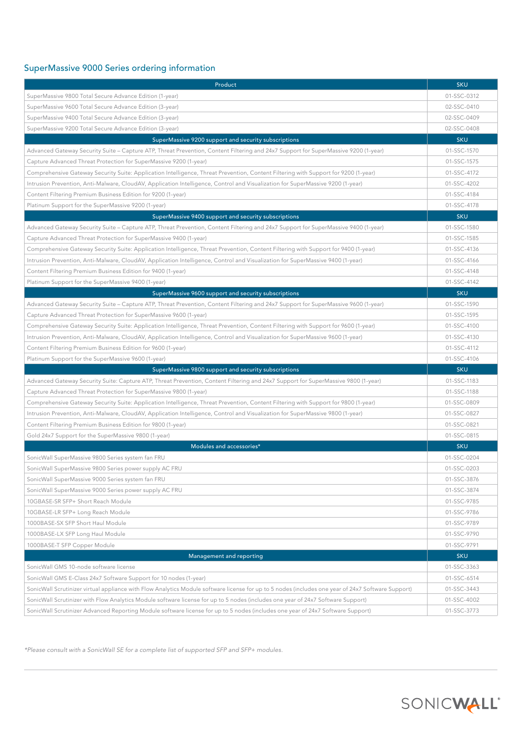# SuperMassive 9000 Series ordering information

| Product                                                                                                                                            | <b>SKU</b>                 |  |  |
|----------------------------------------------------------------------------------------------------------------------------------------------------|----------------------------|--|--|
| SuperMassive 9800 Total Secure Advance Edition (1-year)                                                                                            | 01-SSC-0312                |  |  |
| SuperMassive 9600 Total Secure Advance Edition (3-year)                                                                                            | 02-SSC-0410                |  |  |
| SuperMassive 9400 Total Secure Advance Edition (3-year)                                                                                            |                            |  |  |
| SuperMassive 9200 Total Secure Advance Edition (3-year)                                                                                            |                            |  |  |
| SuperMassive 9200 support and security subscriptions                                                                                               | <b>SKU</b>                 |  |  |
| Advanced Gateway Security Suite – Capture ATP, Threat Prevention, Content Filtering and 24x7 Support for SuperMassive 9200 (1-year)                | 01-SSC-1570                |  |  |
| Capture Advanced Threat Protection for SuperMassive 9200 (1-year)                                                                                  | 01-SSC-1575                |  |  |
| Comprehensive Gateway Security Suite: Application Intelligence, Threat Prevention, Content Filtering with Support for 9200 (1-year)                | 01-SSC-4172                |  |  |
| Intrusion Prevention, Anti-Malware, CloudAV, Application Intelligence, Control and Visualization for SuperMassive 9200 (1-year)                    | 01-SSC-4202                |  |  |
| Content Filtering Premium Business Edition for 9200 (1-year)                                                                                       | 01-SSC-4184                |  |  |
| Platinum Support for the SuperMassive 9200 (1-year)                                                                                                | 01-SSC-4178                |  |  |
| SuperMassive 9400 support and security subscriptions                                                                                               | <b>SKU</b>                 |  |  |
| Advanced Gateway Security Suite – Capture ATP, Threat Prevention, Content Filtering and 24x7 Support for SuperMassive 9400 (1-year)                | 01-SSC-1580                |  |  |
| Capture Advanced Threat Protection for SuperMassive 9400 (1-year)                                                                                  | 01-SSC-1585                |  |  |
| Comprehensive Gateway Security Suite: Application Intelligence, Threat Prevention, Content Filtering with Support for 9400 (1-year)                | 01-SSC-4136                |  |  |
| Intrusion Prevention, Anti-Malware, CloudAV, Application Intelligence, Control and Visualization for SuperMassive 9400 (1-year)                    | 01-SSC-4166                |  |  |
| Content Filtering Premium Business Edition for 9400 (1-year)                                                                                       | 01-SSC-4148                |  |  |
| Platinum Support for the SuperMassive 9400 (1-year)                                                                                                | 01-SSC-4142                |  |  |
| SuperMassive 9600 support and security subscriptions                                                                                               | <b>SKU</b>                 |  |  |
| Advanced Gateway Security Suite – Capture ATP, Threat Prevention, Content Filtering and 24x7 Support for SuperMassive 9600 (1-year)                | 01-SSC-1590                |  |  |
| Capture Advanced Threat Protection for SuperMassive 9600 (1-year)                                                                                  | 01-SSC-1595                |  |  |
| Comprehensive Gateway Security Suite: Application Intelligence, Threat Prevention, Content Filtering with Support for 9600 (1-year)                | 01-SSC-4100                |  |  |
| Intrusion Prevention, Anti-Malware, CloudAV, Application Intelligence, Control and Visualization for SuperMassive 9600 (1-year)                    | 01-SSC-4130                |  |  |
| Content Filtering Premium Business Edition for 9600 (1-year)                                                                                       | 01-SSC-4112                |  |  |
| Platinum Support for the SuperMassive 9600 (1-year)                                                                                                | 01-SSC-4106                |  |  |
| SuperMassive 9800 support and security subscriptions                                                                                               | <b>SKU</b>                 |  |  |
| Advanced Gateway Security Suite: Capture ATP, Threat Prevention, Content Filtering and 24x7 Support for SuperMassive 9800 (1-year)                 | 01-SSC-1183                |  |  |
| Capture Advanced Threat Protection for SuperMassive 9800 (1-year)                                                                                  | 01-SSC-1188                |  |  |
| Comprehensive Gateway Security Suite: Application Intelligence, Threat Prevention, Content Filtering with Support for 9800 (1-year)                | 01-SSC-0809                |  |  |
| Intrusion Prevention, Anti-Malware, CloudAV, Application Intelligence, Control and Visualization for SuperMassive 9800 (1-year)                    | 01-SSC-0827                |  |  |
| Content Filtering Premium Business Edition for 9800 (1-year)                                                                                       | 01-SSC-0821                |  |  |
| Gold 24x7 Support for the SuperMassive 9800 (1-year)                                                                                               | 01-SSC-0815                |  |  |
| Modules and accessories*                                                                                                                           | <b>SKU</b>                 |  |  |
| SonicWall SuperMassive 9800 Series system fan FRU                                                                                                  | 01-SSC-0204                |  |  |
| SonicWall SuperMassive 9800 Series power supply AC FRU                                                                                             | 01-SSC-0203                |  |  |
| SonicWall SuperMassive 9000 Series system fan FRU                                                                                                  | 01-SSC-3876                |  |  |
| SonicWall SuperMassive 9000 Series power supply AC FRU                                                                                             | 01-SSC-3874                |  |  |
| 10GBASE-SR SFP+ Short Reach Module                                                                                                                 | 01-SSC-9785                |  |  |
| 10GBASE-LR SFP+ Long Reach Module                                                                                                                  | 01-SSC-9786                |  |  |
| 1000BASE-SX SFP Short Haul Module                                                                                                                  | 01-SSC-9789                |  |  |
| 1000BASE-LX SFP Long Haul Module                                                                                                                   | 01-SSC-9790                |  |  |
| 1000BASE-T SFP Copper Module                                                                                                                       | 01-SSC-9791                |  |  |
| Management and reporting                                                                                                                           | <b>SKU</b>                 |  |  |
| SonicWall GMS 10-node software license                                                                                                             | 01-SSC-3363                |  |  |
| SonicWall GMS E-Class 24x7 Software Support for 10 nodes (1-year)                                                                                  | 01-SSC-6514<br>01-SSC-3443 |  |  |
| SonicWall Scrutinizer virtual appliance with Flow Analytics Module software license for up to 5 nodes (includes one year of 24x7 Software Support) |                            |  |  |
| SonicWall Scrutinizer with Flow Analytics Module software license for up to 5 nodes (includes one year of 24x7 Software Support)                   |                            |  |  |
| SonicWall Scrutinizer Advanced Reporting Module software license for up to 5 nodes (includes one year of 24x7 Software Support)                    |                            |  |  |

\*Please consult with a SonicWall SE for a complete list of supported SFP and SFP+ modules.